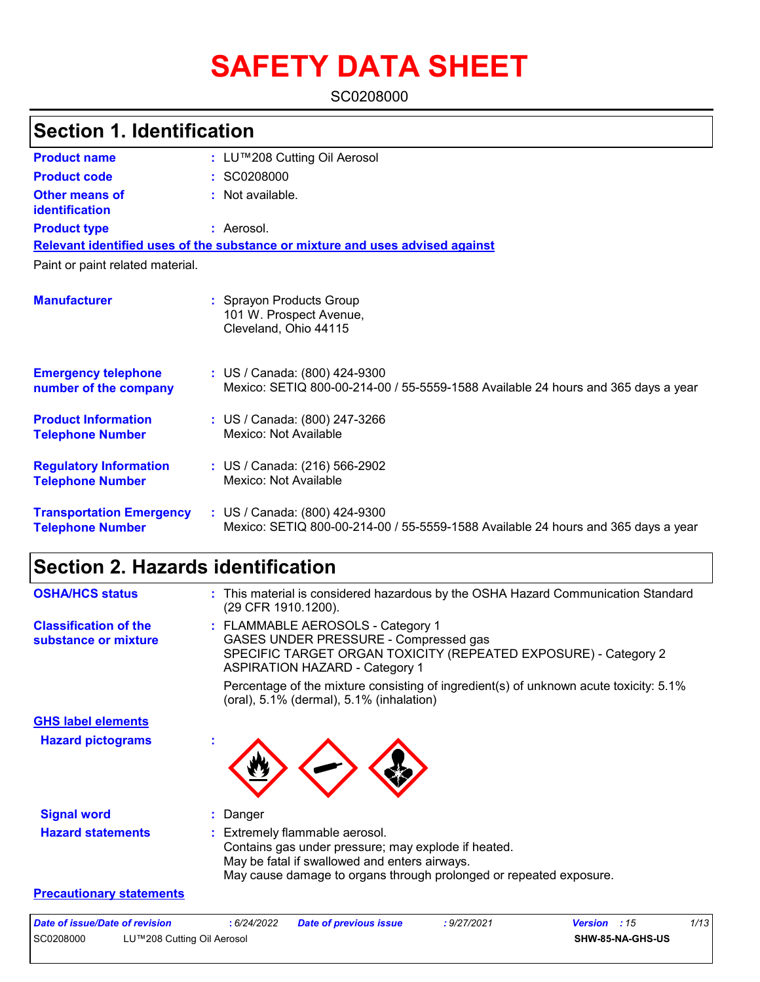# **SAFETY DATA SHEET**

SC0208000

| <b>Section 1. Identification</b>                           |                                                                                                                    |  |
|------------------------------------------------------------|--------------------------------------------------------------------------------------------------------------------|--|
| <b>Product name</b>                                        | : LU™208 Cutting Oil Aerosol                                                                                       |  |
| <b>Product code</b>                                        | : SC0208000                                                                                                        |  |
| <b>Other means of</b><br>identification                    | : Not available.                                                                                                   |  |
| <b>Product type</b>                                        | : Aerosol.                                                                                                         |  |
|                                                            | Relevant identified uses of the substance or mixture and uses advised against                                      |  |
| Paint or paint related material.                           |                                                                                                                    |  |
| <b>Manufacturer</b>                                        | : Sprayon Products Group<br>101 W. Prospect Avenue,<br>Cleveland, Ohio 44115                                       |  |
| <b>Emergency telephone</b><br>number of the company        | : US / Canada: (800) 424-9300<br>Mexico: SETIQ 800-00-214-00 / 55-5559-1588 Available 24 hours and 365 days a year |  |
| <b>Product Information</b><br><b>Telephone Number</b>      | : US / Canada: (800) 247-3266<br>Mexico: Not Available                                                             |  |
| <b>Regulatory Information</b><br><b>Telephone Number</b>   | : US / Canada: (216) 566-2902<br>Mexico: Not Available                                                             |  |
| <b>Transportation Emergency</b><br><b>Telephone Number</b> | : US / Canada: (800) 424-9300<br>Mexico: SETIQ 800-00-214-00 / 55-5559-1588 Available 24 hours and 365 days a year |  |

# **Section 2. Hazards identification**

| <b>OSHA/HCS status</b>                               | : This material is considered hazardous by the OSHA Hazard Communication Standard<br>(29 CFR 1910.1200).                                                                                                     |
|------------------------------------------------------|--------------------------------------------------------------------------------------------------------------------------------------------------------------------------------------------------------------|
| <b>Classification of the</b><br>substance or mixture | : FLAMMABLE AEROSOLS - Category 1<br>GASES UNDER PRESSURE - Compressed gas<br>SPECIFIC TARGET ORGAN TOXICITY (REPEATED EXPOSURE) - Category 2<br><b>ASPIRATION HAZARD - Category 1</b>                       |
|                                                      | Percentage of the mixture consisting of ingredient(s) of unknown acute toxicity: 5.1%<br>(oral), 5.1% (dermal), 5.1% (inhalation)                                                                            |
| <b>GHS label elements</b>                            |                                                                                                                                                                                                              |
| <b>Hazard pictograms</b>                             |                                                                                                                                                                                                              |
| <b>Signal word</b>                                   | : Danger                                                                                                                                                                                                     |
| <b>Hazard statements</b>                             | : Extremely flammable aerosol.<br>Contains gas under pressure; may explode if heated.<br>May be fatal if swallowed and enters airways.<br>May cause damage to organs through prolonged or repeated exposure. |

#### **Precautionary statements**

| Date of issue/Date of revision |                            | : 6/24/2022 | <b>Date of previous issue</b> | : 9/27/2021 | <b>Version</b> : 15     | 1/13 |
|--------------------------------|----------------------------|-------------|-------------------------------|-------------|-------------------------|------|
| SC0208000                      | LU™208 Cutting Oil Aerosol |             |                               |             | <b>SHW-85-NA-GHS-US</b> |      |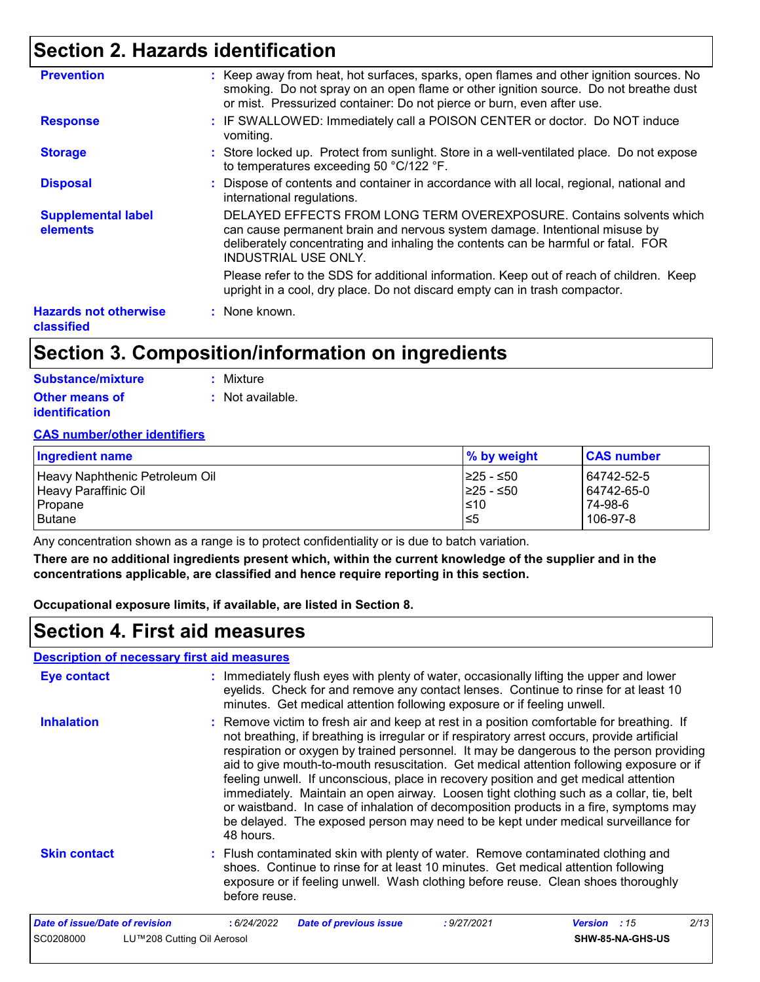# **Section 2. Hazards identification**

| <b>Prevention</b>                          | : Keep away from heat, hot surfaces, sparks, open flames and other ignition sources. No<br>smoking. Do not spray on an open flame or other ignition source. Do not breathe dust<br>or mist. Pressurized container: Do not pierce or burn, even after use.              |
|--------------------------------------------|------------------------------------------------------------------------------------------------------------------------------------------------------------------------------------------------------------------------------------------------------------------------|
| <b>Response</b>                            | : IF SWALLOWED: Immediately call a POISON CENTER or doctor. Do NOT induce<br>vomiting.                                                                                                                                                                                 |
| <b>Storage</b>                             | : Store locked up. Protect from sunlight. Store in a well-ventilated place. Do not expose<br>to temperatures exceeding 50 °C/122 °F.                                                                                                                                   |
| <b>Disposal</b>                            | : Dispose of contents and container in accordance with all local, regional, national and<br>international regulations.                                                                                                                                                 |
| <b>Supplemental label</b><br>elements      | DELAYED EFFECTS FROM LONG TERM OVEREXPOSURE. Contains solvents which<br>can cause permanent brain and nervous system damage. Intentional misuse by<br>deliberately concentrating and inhaling the contents can be harmful or fatal. FOR<br><b>INDUSTRIAL USE ONLY.</b> |
|                                            | Please refer to the SDS for additional information. Keep out of reach of children. Keep<br>upright in a cool, dry place. Do not discard empty can in trash compactor.                                                                                                  |
| <b>Hazards not otherwise</b><br>classified | : None known.                                                                                                                                                                                                                                                          |
|                                            |                                                                                                                                                                                                                                                                        |

# **Section 3. Composition/information on ingredients**

| Substance/mixture     | : Mixture                   |
|-----------------------|-----------------------------|
| Other means of        | $\therefore$ Not available. |
| <b>identification</b> |                             |

#### **CAS number/other identifiers**

| Ingredient name                | $\%$ by weight | <b>CAS number</b> |
|--------------------------------|----------------|-------------------|
| Heavy Naphthenic Petroleum Oil | I≥25 - ≤50     | 64742-52-51       |
| Heavy Paraffinic Oil           | I≥25 - ≤50     | 64742-65-0        |
| Propane                        | $\leq 10$      | 74-98-6           |
| <b>Butane</b>                  | l≤5            | 106-97-8          |

Any concentration shown as a range is to protect confidentiality or is due to batch variation.

**There are no additional ingredients present which, within the current knowledge of the supplier and in the concentrations applicable, are classified and hence require reporting in this section.**

**Occupational exposure limits, if available, are listed in Section 8.**

### **Section 4. First aid measures**

#### **Description of necessary first aid measures**

| <b>Eye contact</b>             | : Immediately flush eyes with plenty of water, occasionally lifting the upper and lower<br>eyelids. Check for and remove any contact lenses. Continue to rinse for at least 10<br>minutes. Get medical attention following exposure or if feeling unwell.                                                                                                                                                                                                                                                                                                                                                                                                                                                                                                      |
|--------------------------------|----------------------------------------------------------------------------------------------------------------------------------------------------------------------------------------------------------------------------------------------------------------------------------------------------------------------------------------------------------------------------------------------------------------------------------------------------------------------------------------------------------------------------------------------------------------------------------------------------------------------------------------------------------------------------------------------------------------------------------------------------------------|
| <b>Inhalation</b>              | : Remove victim to fresh air and keep at rest in a position comfortable for breathing. If<br>not breathing, if breathing is irregular or if respiratory arrest occurs, provide artificial<br>respiration or oxygen by trained personnel. It may be dangerous to the person providing<br>aid to give mouth-to-mouth resuscitation. Get medical attention following exposure or if<br>feeling unwell. If unconscious, place in recovery position and get medical attention<br>immediately. Maintain an open airway. Loosen tight clothing such as a collar, tie, belt<br>or waistband. In case of inhalation of decomposition products in a fire, symptoms may<br>be delayed. The exposed person may need to be kept under medical surveillance for<br>48 hours. |
| <b>Skin contact</b>            | : Flush contaminated skin with plenty of water. Remove contaminated clothing and<br>shoes. Continue to rinse for at least 10 minutes. Get medical attention following<br>exposure or if feeling unwell. Wash clothing before reuse. Clean shoes thoroughly<br>before reuse.                                                                                                                                                                                                                                                                                                                                                                                                                                                                                    |
| Date of issue/Date of revision | 2/13<br>: 6/24/2022<br><b>Date of previous issue</b><br>: 9/27/2021<br><b>Version</b> : 15                                                                                                                                                                                                                                                                                                                                                                                                                                                                                                                                                                                                                                                                     |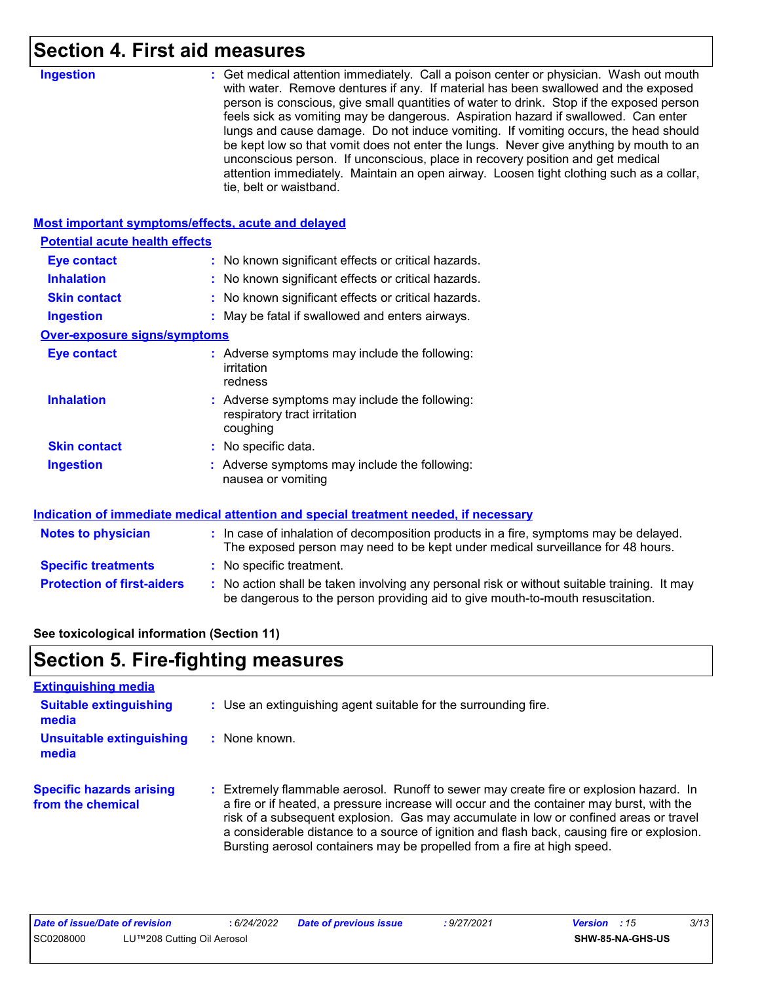### **Section 4. First aid measures**

| <b>Ingestion</b>                                          | : Get medical attention immediately. Call a poison center or physician. Wash out mouth<br>with water. Remove dentures if any. If material has been swallowed and the exposed<br>person is conscious, give small quantities of water to drink. Stop if the exposed person<br>feels sick as vomiting may be dangerous. Aspiration hazard if swallowed. Can enter<br>lungs and cause damage. Do not induce vomiting. If vomiting occurs, the head should<br>be kept low so that vomit does not enter the lungs. Never give anything by mouth to an<br>unconscious person. If unconscious, place in recovery position and get medical<br>attention immediately. Maintain an open airway. Loosen tight clothing such as a collar,<br>tie, belt or waistband. |
|-----------------------------------------------------------|---------------------------------------------------------------------------------------------------------------------------------------------------------------------------------------------------------------------------------------------------------------------------------------------------------------------------------------------------------------------------------------------------------------------------------------------------------------------------------------------------------------------------------------------------------------------------------------------------------------------------------------------------------------------------------------------------------------------------------------------------------|
| <b>Most important symptoms/effects, acute and delayed</b> |                                                                                                                                                                                                                                                                                                                                                                                                                                                                                                                                                                                                                                                                                                                                                         |
| <b>Potential acute health effects</b>                     |                                                                                                                                                                                                                                                                                                                                                                                                                                                                                                                                                                                                                                                                                                                                                         |
| <b>Eye contact</b>                                        | : No known significant effects or critical hazards.                                                                                                                                                                                                                                                                                                                                                                                                                                                                                                                                                                                                                                                                                                     |
| <b>Inhalation</b>                                         | : No known significant effects or critical hazards.                                                                                                                                                                                                                                                                                                                                                                                                                                                                                                                                                                                                                                                                                                     |
| <b>Skin contact</b>                                       | : No known significant effects or critical hazards.                                                                                                                                                                                                                                                                                                                                                                                                                                                                                                                                                                                                                                                                                                     |
| <b>Ingestion</b>                                          | : May be fatal if swallowed and enters airways.                                                                                                                                                                                                                                                                                                                                                                                                                                                                                                                                                                                                                                                                                                         |
| <b>Over-exposure signs/symptoms</b>                       |                                                                                                                                                                                                                                                                                                                                                                                                                                                                                                                                                                                                                                                                                                                                                         |
| <b>Eye contact</b>                                        | : Adverse symptoms may include the following:<br>irritation<br>redness                                                                                                                                                                                                                                                                                                                                                                                                                                                                                                                                                                                                                                                                                  |
| <b>Inhalation</b>                                         | : Adverse symptoms may include the following:<br>respiratory tract irritation<br>coughing                                                                                                                                                                                                                                                                                                                                                                                                                                                                                                                                                                                                                                                               |
| <b>Skin contact</b>                                       | : No specific data.                                                                                                                                                                                                                                                                                                                                                                                                                                                                                                                                                                                                                                                                                                                                     |
| <b>Ingestion</b>                                          | : Adverse symptoms may include the following:<br>nausea or vomiting                                                                                                                                                                                                                                                                                                                                                                                                                                                                                                                                                                                                                                                                                     |
|                                                           | Indication of immediate medical attention and special treatment needed, if necessary                                                                                                                                                                                                                                                                                                                                                                                                                                                                                                                                                                                                                                                                    |
| <b>Notes to physician</b>                                 | : In case of inhalation of decomposition products in a fire, symptoms may be delayed.<br>The exposed person may need to be kept under medical surveillance for 48 hours.                                                                                                                                                                                                                                                                                                                                                                                                                                                                                                                                                                                |
| <b>Specific treatments</b>                                | : No specific treatment.                                                                                                                                                                                                                                                                                                                                                                                                                                                                                                                                                                                                                                                                                                                                |
| <b>Protection of first-aiders</b>                         | No action shall be taken involving any personal risk or without suitable training. It may<br>be dangerous to the person providing aid to give mouth-to-mouth resuscitation.                                                                                                                                                                                                                                                                                                                                                                                                                                                                                                                                                                             |

#### **See toxicological information (Section 11)**

# **Section 5. Fire-fighting measures**

| <b>Extinguishing media</b>                           |                                                                                                                                                                                                                                                                                                                                                                                                                                                       |
|------------------------------------------------------|-------------------------------------------------------------------------------------------------------------------------------------------------------------------------------------------------------------------------------------------------------------------------------------------------------------------------------------------------------------------------------------------------------------------------------------------------------|
| <b>Suitable extinguishing</b><br>media               | : Use an extinguishing agent suitable for the surrounding fire.                                                                                                                                                                                                                                                                                                                                                                                       |
| <b>Unsuitable extinguishing</b><br>media             | : None known.                                                                                                                                                                                                                                                                                                                                                                                                                                         |
| <b>Specific hazards arising</b><br>from the chemical | : Extremely flammable aerosol. Runoff to sewer may create fire or explosion hazard. In<br>a fire or if heated, a pressure increase will occur and the container may burst, with the<br>risk of a subsequent explosion. Gas may accumulate in low or confined areas or travel<br>a considerable distance to a source of ignition and flash back, causing fire or explosion.<br>Bursting aerosol containers may be propelled from a fire at high speed. |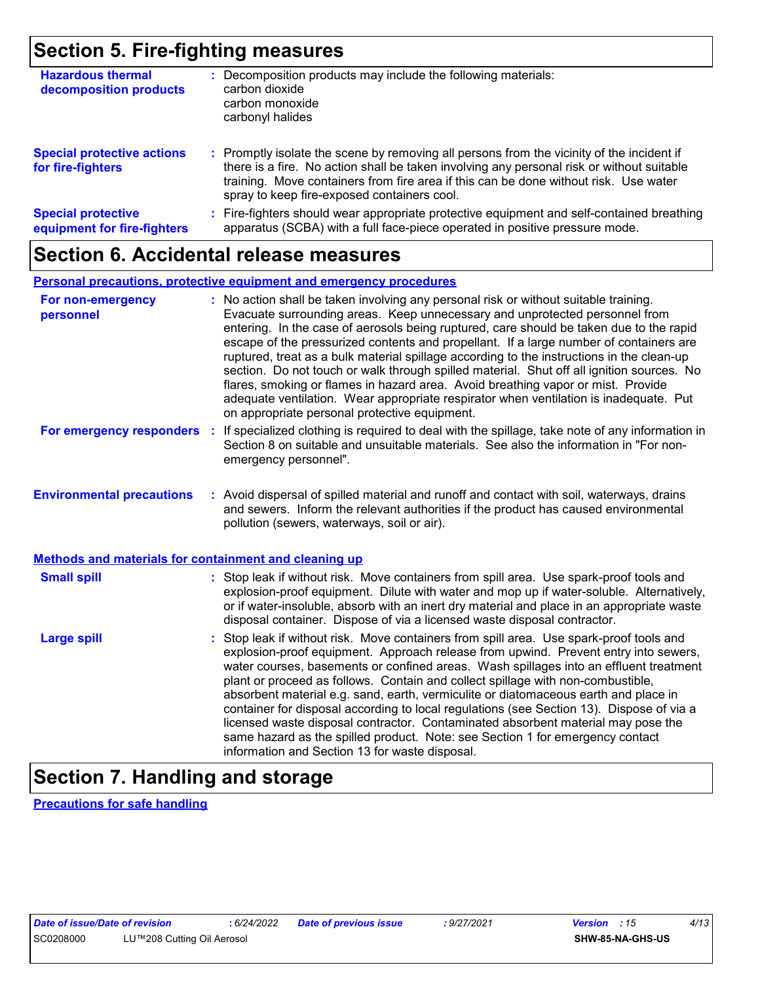### **Section 5. Fire-fighting measures**

| <b>Hazardous thermal</b><br>decomposition products       | Decomposition products may include the following materials:<br>carbon dioxide<br>carbon monoxide<br>carbonyl halides                                                                                                                                                                                                          |
|----------------------------------------------------------|-------------------------------------------------------------------------------------------------------------------------------------------------------------------------------------------------------------------------------------------------------------------------------------------------------------------------------|
| <b>Special protective actions</b><br>for fire-fighters   | : Promptly isolate the scene by removing all persons from the vicinity of the incident if<br>there is a fire. No action shall be taken involving any personal risk or without suitable<br>training. Move containers from fire area if this can be done without risk. Use water<br>spray to keep fire-exposed containers cool. |
| <b>Special protective</b><br>equipment for fire-fighters | : Fire-fighters should wear appropriate protective equipment and self-contained breathing<br>apparatus (SCBA) with a full face-piece operated in positive pressure mode.                                                                                                                                                      |

### **Section 6. Accidental release measures**

#### **Personal precautions, protective equipment and emergency procedures**

| For non-emergency<br>personnel                               |    | : No action shall be taken involving any personal risk or without suitable training.<br>Evacuate surrounding areas. Keep unnecessary and unprotected personnel from<br>entering. In the case of aerosols being ruptured, care should be taken due to the rapid<br>escape of the pressurized contents and propellant. If a large number of containers are<br>ruptured, treat as a bulk material spillage according to the instructions in the clean-up<br>section. Do not touch or walk through spilled material. Shut off all ignition sources. No<br>flares, smoking or flames in hazard area. Avoid breathing vapor or mist. Provide<br>adequate ventilation. Wear appropriate respirator when ventilation is inadequate. Put<br>on appropriate personal protective equipment. |
|--------------------------------------------------------------|----|----------------------------------------------------------------------------------------------------------------------------------------------------------------------------------------------------------------------------------------------------------------------------------------------------------------------------------------------------------------------------------------------------------------------------------------------------------------------------------------------------------------------------------------------------------------------------------------------------------------------------------------------------------------------------------------------------------------------------------------------------------------------------------|
| For emergency responders                                     | ÷. | If specialized clothing is required to deal with the spillage, take note of any information in<br>Section 8 on suitable and unsuitable materials. See also the information in "For non-<br>emergency personnel".                                                                                                                                                                                                                                                                                                                                                                                                                                                                                                                                                                 |
| <b>Environmental precautions</b>                             |    | : Avoid dispersal of spilled material and runoff and contact with soil, waterways, drains<br>and sewers. Inform the relevant authorities if the product has caused environmental<br>pollution (sewers, waterways, soil or air).                                                                                                                                                                                                                                                                                                                                                                                                                                                                                                                                                  |
| <b>Methods and materials for containment and cleaning up</b> |    |                                                                                                                                                                                                                                                                                                                                                                                                                                                                                                                                                                                                                                                                                                                                                                                  |
| <b>Small spill</b>                                           |    | : Stop leak if without risk. Move containers from spill area. Use spark-proof tools and<br>explosion-proof equipment. Dilute with water and mop up if water-soluble. Alternatively,<br>or if water-insoluble, absorb with an inert dry material and place in an appropriate waste<br>disposal container. Dispose of via a licensed waste disposal contractor.                                                                                                                                                                                                                                                                                                                                                                                                                    |
| <b>Large spill</b>                                           |    | : Stop leak if without risk. Move containers from spill area. Use spark-proof tools and<br>explosion-proof equipment. Approach release from upwind. Prevent entry into sewers,<br>water courses, basements or confined areas. Wash spillages into an effluent treatment<br>plant or proceed as follows. Contain and collect spillage with non-combustible,<br>absorbent material e.g. sand, earth, vermiculite or diatomaceous earth and place in<br>container for disposal according to local regulations (see Section 13). Dispose of via a<br>licensed waste disposal contractor. Contaminated absorbent material may pose the<br>same hazard as the spilled product. Note: see Section 1 for emergency contact<br>information and Section 13 for waste disposal.             |

# **Section 7. Handling and storage**

**Precautions for safe handling**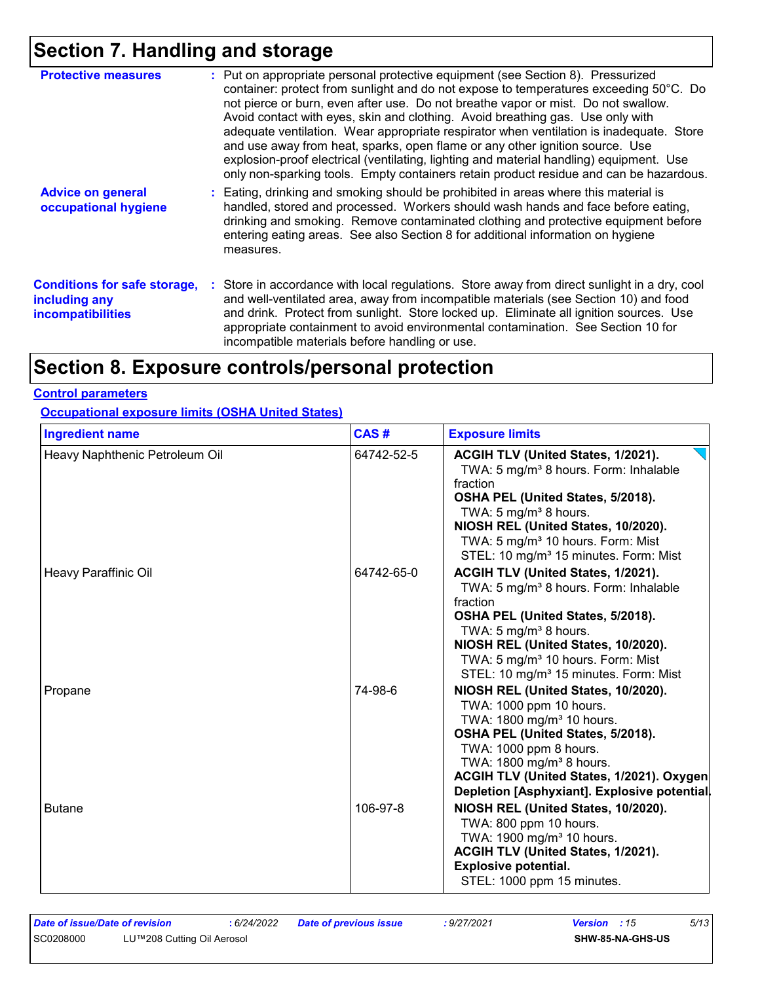# **Section 7. Handling and storage**

| <b>Protective measures</b>                                                       | : Put on appropriate personal protective equipment (see Section 8). Pressurized<br>container: protect from sunlight and do not expose to temperatures exceeding 50°C. Do<br>not pierce or burn, even after use. Do not breathe vapor or mist. Do not swallow.<br>Avoid contact with eyes, skin and clothing. Avoid breathing gas. Use only with<br>adequate ventilation. Wear appropriate respirator when ventilation is inadequate. Store<br>and use away from heat, sparks, open flame or any other ignition source. Use<br>explosion-proof electrical (ventilating, lighting and material handling) equipment. Use<br>only non-sparking tools. Empty containers retain product residue and can be hazardous. |
|----------------------------------------------------------------------------------|-----------------------------------------------------------------------------------------------------------------------------------------------------------------------------------------------------------------------------------------------------------------------------------------------------------------------------------------------------------------------------------------------------------------------------------------------------------------------------------------------------------------------------------------------------------------------------------------------------------------------------------------------------------------------------------------------------------------|
| <b>Advice on general</b><br>occupational hygiene                                 | : Eating, drinking and smoking should be prohibited in areas where this material is<br>handled, stored and processed. Workers should wash hands and face before eating,<br>drinking and smoking. Remove contaminated clothing and protective equipment before<br>entering eating areas. See also Section 8 for additional information on hygiene<br>measures.                                                                                                                                                                                                                                                                                                                                                   |
| <b>Conditions for safe storage,</b><br>including any<br><b>incompatibilities</b> | : Store in accordance with local regulations. Store away from direct sunlight in a dry, cool<br>and well-ventilated area, away from incompatible materials (see Section 10) and food<br>and drink. Protect from sunlight. Store locked up. Eliminate all ignition sources. Use<br>appropriate containment to avoid environmental contamination. See Section 10 for<br>incompatible materials before handling or use.                                                                                                                                                                                                                                                                                            |

# **Section 8. Exposure controls/personal protection**

#### **Control parameters**

#### **Occupational exposure limits (OSHA United States)**

| <b>Ingredient name</b>         | CAS#       | <b>Exposure limits</b>                                                                                                                                                                                                                                                                                                     |
|--------------------------------|------------|----------------------------------------------------------------------------------------------------------------------------------------------------------------------------------------------------------------------------------------------------------------------------------------------------------------------------|
| Heavy Naphthenic Petroleum Oil | 64742-52-5 | ACGIH TLV (United States, 1/2021).<br>TWA: 5 mg/m <sup>3</sup> 8 hours. Form: Inhalable<br>fraction<br>OSHA PEL (United States, 5/2018).<br>TWA: 5 mg/m <sup>3</sup> 8 hours.<br>NIOSH REL (United States, 10/2020).<br>TWA: 5 mg/m <sup>3</sup> 10 hours. Form: Mist<br>STEL: 10 mg/m <sup>3</sup> 15 minutes. Form: Mist |
| Heavy Paraffinic Oil           | 64742-65-0 | ACGIH TLV (United States, 1/2021).<br>TWA: 5 mg/m <sup>3</sup> 8 hours. Form: Inhalable<br>fraction<br>OSHA PEL (United States, 5/2018).<br>TWA: $5 \text{ mg/m}^3$ 8 hours.<br>NIOSH REL (United States, 10/2020).<br>TWA: 5 mg/m <sup>3</sup> 10 hours. Form: Mist<br>STEL: 10 mg/m <sup>3</sup> 15 minutes. Form: Mist  |
| Propane                        | 74-98-6    | NIOSH REL (United States, 10/2020).<br>TWA: 1000 ppm 10 hours.<br>TWA: 1800 mg/m <sup>3</sup> 10 hours.<br>OSHA PEL (United States, 5/2018).<br>TWA: 1000 ppm 8 hours.<br>TWA: 1800 mg/m <sup>3</sup> 8 hours.<br>ACGIH TLV (United States, 1/2021). Oxygen<br>Depletion [Asphyxiant]. Explosive potential.                |
| <b>Butane</b>                  | 106-97-8   | NIOSH REL (United States, 10/2020).<br>TWA: 800 ppm 10 hours.<br>TWA: 1900 mg/m <sup>3</sup> 10 hours.<br>ACGIH TLV (United States, 1/2021).<br><b>Explosive potential.</b><br>STEL: 1000 ppm 15 minutes.                                                                                                                  |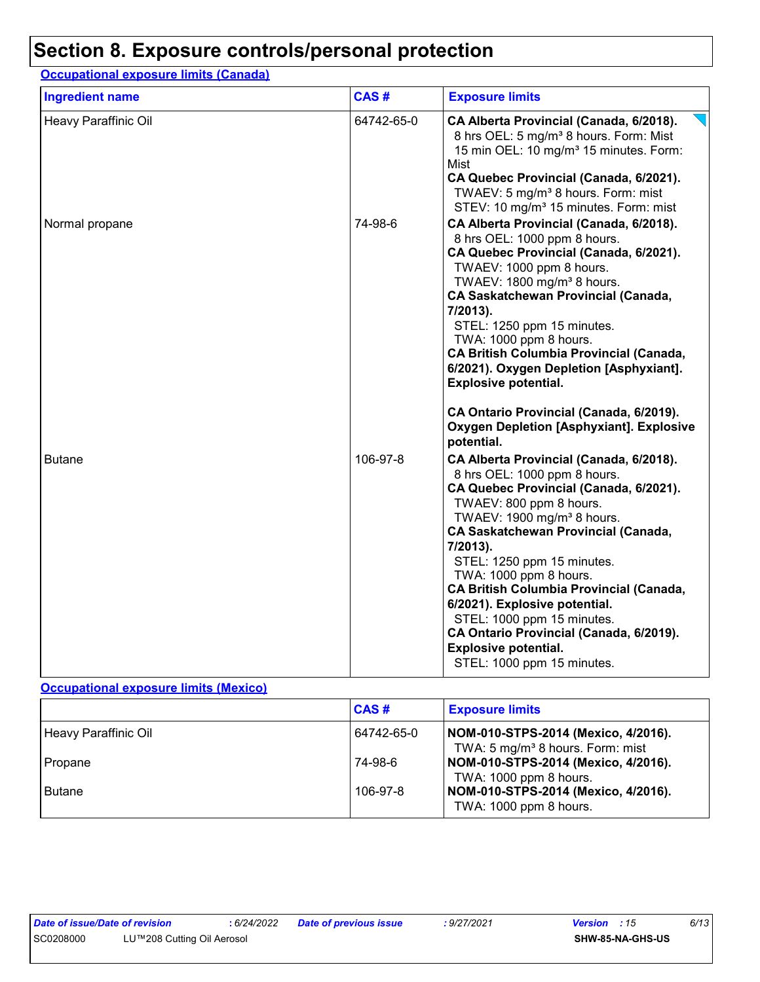### **Section 8. Exposure controls/personal protection**

#### **Occupational exposure limits (Canada)**

| <b>Ingredient name</b> | CAS#       | <b>Exposure limits</b>                                                                                                                                                                                                                                                                                                                                                                                                                                                                                                            |
|------------------------|------------|-----------------------------------------------------------------------------------------------------------------------------------------------------------------------------------------------------------------------------------------------------------------------------------------------------------------------------------------------------------------------------------------------------------------------------------------------------------------------------------------------------------------------------------|
| Heavy Paraffinic Oil   | 64742-65-0 | CA Alberta Provincial (Canada, 6/2018).<br>8 hrs OEL: 5 mg/m <sup>3</sup> 8 hours. Form: Mist<br>15 min OEL: 10 mg/m <sup>3</sup> 15 minutes. Form:<br>Mist<br>CA Quebec Provincial (Canada, 6/2021).<br>TWAEV: 5 mg/m <sup>3</sup> 8 hours. Form: mist<br>STEV: 10 mg/m <sup>3</sup> 15 minutes. Form: mist                                                                                                                                                                                                                      |
| Normal propane         | 74-98-6    | CA Alberta Provincial (Canada, 6/2018).<br>8 hrs OEL: 1000 ppm 8 hours.<br>CA Quebec Provincial (Canada, 6/2021).<br>TWAEV: 1000 ppm 8 hours.<br>TWAEV: 1800 mg/m <sup>3</sup> 8 hours.<br><b>CA Saskatchewan Provincial (Canada,</b><br>7/2013).<br>STEL: 1250 ppm 15 minutes.<br>TWA: 1000 ppm 8 hours.<br><b>CA British Columbia Provincial (Canada,</b><br>6/2021). Oxygen Depletion [Asphyxiant].<br><b>Explosive potential.</b><br>CA Ontario Provincial (Canada, 6/2019).                                                  |
|                        |            | <b>Oxygen Depletion [Asphyxiant]. Explosive</b><br>potential.                                                                                                                                                                                                                                                                                                                                                                                                                                                                     |
| <b>Butane</b>          | 106-97-8   | CA Alberta Provincial (Canada, 6/2018).<br>8 hrs OEL: 1000 ppm 8 hours.<br>CA Quebec Provincial (Canada, 6/2021).<br>TWAEV: 800 ppm 8 hours.<br>TWAEV: 1900 mg/m <sup>3</sup> 8 hours.<br><b>CA Saskatchewan Provincial (Canada,</b><br>7/2013).<br>STEL: 1250 ppm 15 minutes.<br>TWA: 1000 ppm 8 hours.<br><b>CA British Columbia Provincial (Canada,</b><br>6/2021). Explosive potential.<br>STEL: 1000 ppm 15 minutes.<br>CA Ontario Provincial (Canada, 6/2019).<br><b>Explosive potential.</b><br>STEL: 1000 ppm 15 minutes. |

#### **Occupational exposure limits (Mexico)**

|                      | CAS#       | <b>Exposure limits</b>                                                              |
|----------------------|------------|-------------------------------------------------------------------------------------|
| Heavy Paraffinic Oil | 64742-65-0 | NOM-010-STPS-2014 (Mexico, 4/2016).<br>TWA: 5 mg/m <sup>3</sup> 8 hours. Form: mist |
| Propane              | 74-98-6    | NOM-010-STPS-2014 (Mexico, 4/2016).<br>TWA: 1000 ppm 8 hours.                       |
| <b>Butane</b>        | 106-97-8   | NOM-010-STPS-2014 (Mexico, 4/2016).<br>TWA: 1000 ppm 8 hours.                       |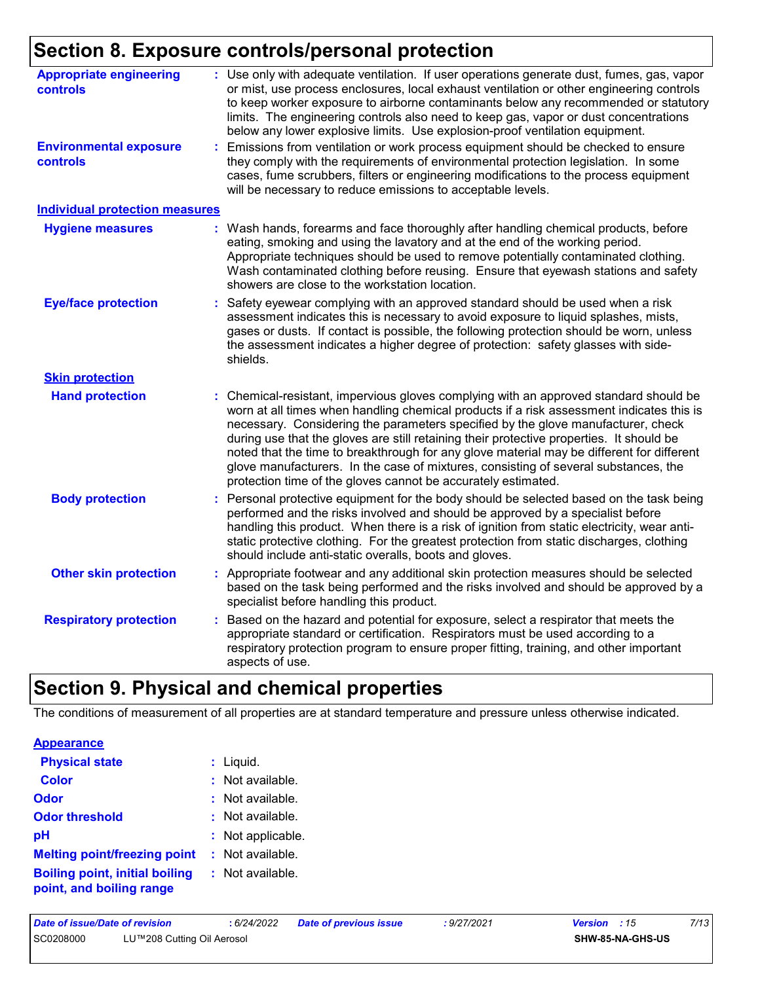# **Section 8. Exposure controls/personal protection**

| <b>Appropriate engineering</b><br>controls       | : Use only with adequate ventilation. If user operations generate dust, fumes, gas, vapor<br>or mist, use process enclosures, local exhaust ventilation or other engineering controls<br>to keep worker exposure to airborne contaminants below any recommended or statutory<br>limits. The engineering controls also need to keep gas, vapor or dust concentrations<br>below any lower explosive limits. Use explosion-proof ventilation equipment.                                                                                                                                                                 |
|--------------------------------------------------|----------------------------------------------------------------------------------------------------------------------------------------------------------------------------------------------------------------------------------------------------------------------------------------------------------------------------------------------------------------------------------------------------------------------------------------------------------------------------------------------------------------------------------------------------------------------------------------------------------------------|
| <b>Environmental exposure</b><br><b>controls</b> | : Emissions from ventilation or work process equipment should be checked to ensure<br>they comply with the requirements of environmental protection legislation. In some<br>cases, fume scrubbers, filters or engineering modifications to the process equipment<br>will be necessary to reduce emissions to acceptable levels.                                                                                                                                                                                                                                                                                      |
| <b>Individual protection measures</b>            |                                                                                                                                                                                                                                                                                                                                                                                                                                                                                                                                                                                                                      |
| <b>Hygiene measures</b>                          | : Wash hands, forearms and face thoroughly after handling chemical products, before<br>eating, smoking and using the lavatory and at the end of the working period.<br>Appropriate techniques should be used to remove potentially contaminated clothing.<br>Wash contaminated clothing before reusing. Ensure that eyewash stations and safety<br>showers are close to the workstation location.                                                                                                                                                                                                                    |
| <b>Eye/face protection</b>                       | Safety eyewear complying with an approved standard should be used when a risk<br>assessment indicates this is necessary to avoid exposure to liquid splashes, mists,<br>gases or dusts. If contact is possible, the following protection should be worn, unless<br>the assessment indicates a higher degree of protection: safety glasses with side-<br>shields.                                                                                                                                                                                                                                                     |
| <b>Skin protection</b>                           |                                                                                                                                                                                                                                                                                                                                                                                                                                                                                                                                                                                                                      |
| <b>Hand protection</b>                           | Chemical-resistant, impervious gloves complying with an approved standard should be<br>worn at all times when handling chemical products if a risk assessment indicates this is<br>necessary. Considering the parameters specified by the glove manufacturer, check<br>during use that the gloves are still retaining their protective properties. It should be<br>noted that the time to breakthrough for any glove material may be different for different<br>glove manufacturers. In the case of mixtures, consisting of several substances, the<br>protection time of the gloves cannot be accurately estimated. |
| <b>Body protection</b>                           | Personal protective equipment for the body should be selected based on the task being<br>performed and the risks involved and should be approved by a specialist before<br>handling this product. When there is a risk of ignition from static electricity, wear anti-<br>static protective clothing. For the greatest protection from static discharges, clothing<br>should include anti-static overalls, boots and gloves.                                                                                                                                                                                         |
| <b>Other skin protection</b>                     | : Appropriate footwear and any additional skin protection measures should be selected<br>based on the task being performed and the risks involved and should be approved by a<br>specialist before handling this product.                                                                                                                                                                                                                                                                                                                                                                                            |
| <b>Respiratory protection</b>                    | Based on the hazard and potential for exposure, select a respirator that meets the<br>appropriate standard or certification. Respirators must be used according to a<br>respiratory protection program to ensure proper fitting, training, and other important<br>aspects of use.                                                                                                                                                                                                                                                                                                                                    |

# **Section 9. Physical and chemical properties**

The conditions of measurement of all properties are at standard temperature and pressure unless otherwise indicated.

| <b>Physical state</b>                                             | $:$ Liquid.       |
|-------------------------------------------------------------------|-------------------|
| <b>Color</b>                                                      | : Not available.  |
| Odor                                                              | : Not available.  |
| <b>Odor threshold</b>                                             | : Not available.  |
| рH                                                                | : Not applicable. |
| <b>Melting point/freezing point</b>                               | : Not available.  |
| <b>Boiling point, initial boiling</b><br>point, and boiling range | : Not available.  |

| Date of issue/Date of revision |                            | 6/24/2022 | Date of previous issue | 9/27/2021 | <b>Version</b> : 15 |                         | 7/13 |
|--------------------------------|----------------------------|-----------|------------------------|-----------|---------------------|-------------------------|------|
| SC0208000                      | LU™208 Cutting Oil Aerosol |           |                        |           |                     | <b>SHW-85-NA-GHS-US</b> |      |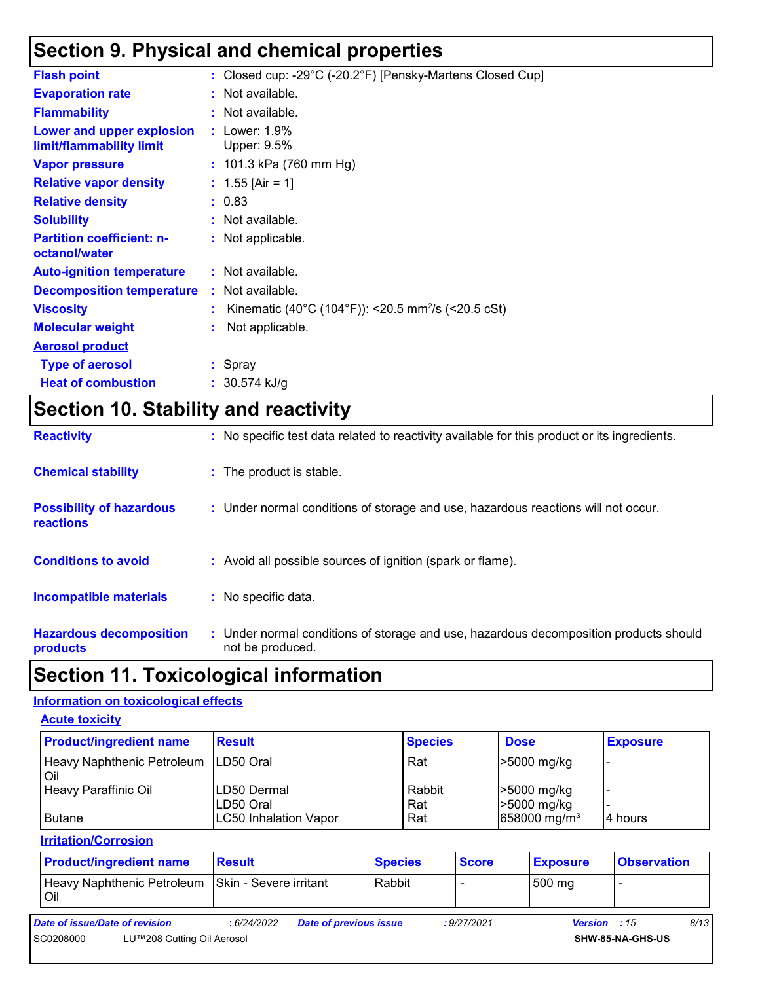# **Section 9. Physical and chemical properties**

| <b>Flash point</b>                                    | : Closed cup: -29°C (-20.2°F) [Pensky-Martens Closed Cup]      |
|-------------------------------------------------------|----------------------------------------------------------------|
| <b>Evaporation rate</b>                               | : Not available.                                               |
| <b>Flammability</b>                                   | : Not available.                                               |
| Lower and upper explosion<br>limit/flammability limit | $:$ Lower: 1.9%<br>Upper: 9.5%                                 |
| <b>Vapor pressure</b>                                 | : 101.3 kPa (760 mm Hg)                                        |
| <b>Relative vapor density</b>                         | : $1.55$ [Air = 1]                                             |
| <b>Relative density</b>                               | : 0.83                                                         |
| <b>Solubility</b>                                     | : Not available.                                               |
| <b>Partition coefficient: n-</b><br>octanol/water     | : Not applicable.                                              |
| <b>Auto-ignition temperature</b>                      | : Not available.                                               |
| <b>Decomposition temperature</b>                      | : Not available.                                               |
| <b>Viscosity</b>                                      | Kinematic (40°C (104°F)): <20.5 mm <sup>2</sup> /s (<20.5 cSt) |
| <b>Molecular weight</b>                               | Not applicable.                                                |
| <b>Aerosol product</b>                                |                                                                |
| <b>Type of aerosol</b>                                | : Spray                                                        |
| <b>Heat of combustion</b>                             | $: 30.574$ kJ/g                                                |

# **Section 10. Stability and reactivity**

| <b>Reactivity</b>                            | : No specific test data related to reactivity available for this product or its ingredients.              |
|----------------------------------------------|-----------------------------------------------------------------------------------------------------------|
| <b>Chemical stability</b>                    | : The product is stable.                                                                                  |
| <b>Possibility of hazardous</b><br>reactions | : Under normal conditions of storage and use, hazardous reactions will not occur.                         |
| <b>Conditions to avoid</b>                   | : Avoid all possible sources of ignition (spark or flame).                                                |
| Incompatible materials                       | : No specific data.                                                                                       |
| <b>Hazardous decomposition</b><br>products   | : Under normal conditions of storage and use, hazardous decomposition products should<br>not be produced. |

# **Section 11. Toxicological information**

#### **Information on toxicological effects**

| <b>Acute toxicity</b>             |                              |                |                          |                 |  |  |  |  |
|-----------------------------------|------------------------------|----------------|--------------------------|-----------------|--|--|--|--|
| <b>Product/ingredient name</b>    | <b>Result</b>                | <b>Species</b> | <b>Dose</b>              | <b>Exposure</b> |  |  |  |  |
| Heavy Naphthenic Petroleum<br>Oil | LD50 Oral                    | Rat            | >5000 mg/kg              |                 |  |  |  |  |
| Heavy Paraffinic Oil              | LD50 Dermal                  | Rabbit         | >5000 mg/kg              |                 |  |  |  |  |
|                                   | LD50 Oral                    | Rat            | >5000 mg/kg              |                 |  |  |  |  |
| l Butane                          | <b>LC50 Inhalation Vapor</b> | Rat            | 658000 mg/m <sup>3</sup> | I4 hours        |  |  |  |  |

**Irritation/Corrosion**

|                                | <b>Product/ingredient name</b> | <b>Result</b>          |                        | <b>Species</b> | <b>Score</b> | <b>Exposure</b> | <b>Observation</b>       |      |
|--------------------------------|--------------------------------|------------------------|------------------------|----------------|--------------|-----------------|--------------------------|------|
| Oil                            | Heavy Naphthenic Petroleum     | Skin - Severe irritant |                        | Rabbit         |              | 500 mg          | $\overline{\phantom{0}}$ |      |
| Date of issue/Date of revision |                                | : 6/24/2022            | Date of previous issue |                | : 9/27/2021  | Version : 15    |                          | 8/13 |
| SC0208000                      | LU™208 Cutting Oil Aerosol     |                        |                        |                |              |                 | SHW-85-NA-GHS-US         |      |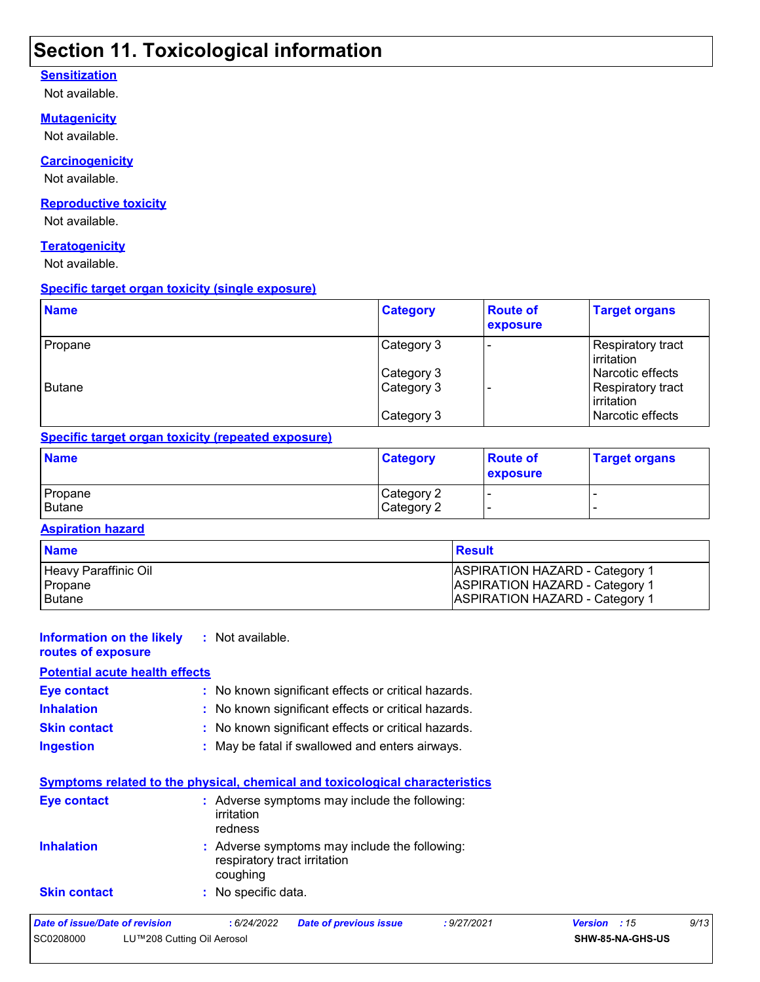### **Section 11. Toxicological information**

#### **Sensitization**

Not available.

#### **Mutagenicity**

Not available.

#### **Carcinogenicity**

Not available.

#### **Reproductive toxicity**

Not available.

#### **Teratogenicity**

Not available.

#### **Specific target organ toxicity (single exposure)**

| <b>Name</b> | <b>Category</b> | <b>Route of</b><br>exposure | <b>Target organs</b>                    |
|-------------|-----------------|-----------------------------|-----------------------------------------|
| Propane     | Category 3      |                             | Respiratory tract<br>l irritation.      |
|             | Category 3      |                             | Narcotic effects                        |
| Butane      | Category 3      |                             | Respiratory tract<br><b>lirritation</b> |
|             | Category 3      |                             | Narcotic effects                        |

#### **Specific target organ toxicity (repeated exposure)**

| <b>Name</b>       | <b>Category</b>          | <b>Route of</b><br>exposure | <b>Target organs</b> |
|-------------------|--------------------------|-----------------------------|----------------------|
| Propane<br>Butane | Category 2<br>Category 2 |                             |                      |

#### **Aspiration hazard**

| <b>Name</b>          | <b>Result</b>                         |
|----------------------|---------------------------------------|
| Heavy Paraffinic Oil | <b>ASPIRATION HAZARD - Category 1</b> |
| Propane              | <b>ASPIRATION HAZARD - Category 1</b> |
| l Butane             | <b>ASPIRATION HAZARD - Category 1</b> |

#### **Information on the likely :** Not available.

**routes of exposure**

#### **Inhalation :** No known significant effects or critical hazards. **Ingestion :** May be fatal if swallowed and enters airways. **Skin contact :** No known significant effects or critical hazards. **Eye contact :** No known significant effects or critical hazards. **Potential acute health effects**

|                     | Symptoms related to the physical, chemical and toxicological characteristics              |
|---------------------|-------------------------------------------------------------------------------------------|
| Eye contact         | : Adverse symptoms may include the following:<br>irritation<br>redness                    |
| <b>Inhalation</b>   | : Adverse symptoms may include the following:<br>respiratory tract irritation<br>coughing |
| <b>Skin contact</b> | : No specific data.                                                                       |

#### *Date of issue/Date of revision* **:** *6/24/2022 Date of previous issue : 9/27/2021 Version : 15 9/13* SC0208000 LU™208 Cutting Oil Aerosol **SHW-85-NA-GHS-US**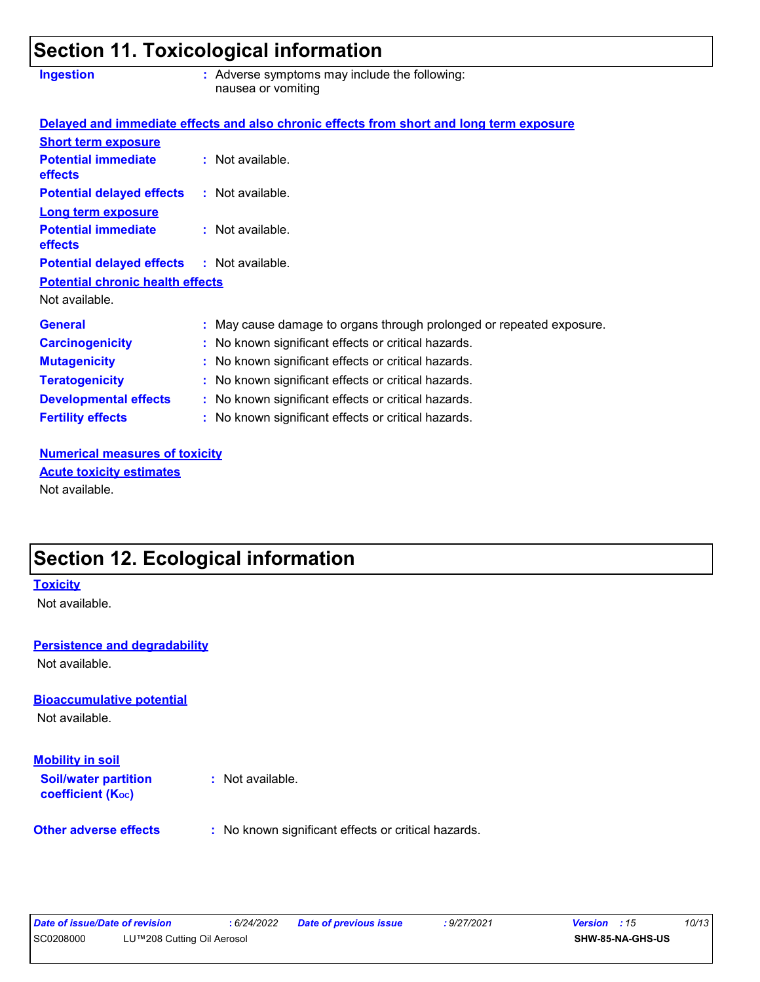### **Section 11. Toxicological information**

| <b>Ingestion</b>                                  | : Adverse symptoms may include the following:<br>nausea or vomiting                      |  |
|---------------------------------------------------|------------------------------------------------------------------------------------------|--|
|                                                   | Delayed and immediate effects and also chronic effects from short and long term exposure |  |
| <b>Short term exposure</b>                        |                                                                                          |  |
| <b>Potential immediate</b><br><b>effects</b>      | : Not available.                                                                         |  |
| <b>Potential delayed effects</b>                  | : Not available.                                                                         |  |
| <b>Long term exposure</b>                         |                                                                                          |  |
| <b>Potential immediate</b><br><b>effects</b>      | : Not available.                                                                         |  |
| <b>Potential delayed effects : Not available.</b> |                                                                                          |  |
| <b>Potential chronic health effects</b>           |                                                                                          |  |
| Not available.                                    |                                                                                          |  |
| <b>General</b>                                    | : May cause damage to organs through prolonged or repeated exposure.                     |  |
| <b>Carcinogenicity</b>                            | : No known significant effects or critical hazards.                                      |  |
| <b>Mutagenicity</b>                               | : No known significant effects or critical hazards.                                      |  |
| <b>Teratogenicity</b>                             | : No known significant effects or critical hazards.                                      |  |
| <b>Developmental effects</b>                      | : No known significant effects or critical hazards.                                      |  |
| <b>Fertility effects</b>                          | : No known significant effects or critical hazards.                                      |  |

**Numerical measures of toxicity** Not available. **Acute toxicity estimates**

# **Section 12. Ecological information**

# **Bioaccumulative potential Other adverse effects** : No known significant effects or critical hazards. Not available. **Toxicity** Not available. **Persistence and degradability Soil/water partition coefficient (KOC) :** Not available. **Mobility in soil** Not available.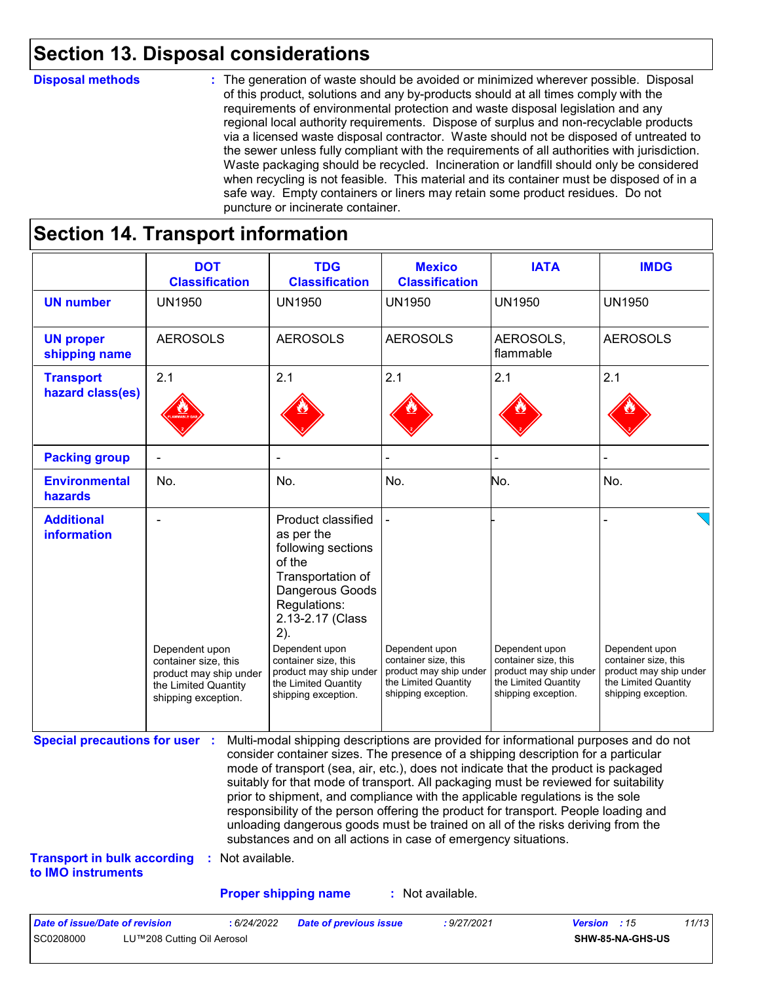### **Section 13. Disposal considerations**

#### **Disposal methods :**

The generation of waste should be avoided or minimized wherever possible. Disposal of this product, solutions and any by-products should at all times comply with the requirements of environmental protection and waste disposal legislation and any regional local authority requirements. Dispose of surplus and non-recyclable products via a licensed waste disposal contractor. Waste should not be disposed of untreated to the sewer unless fully compliant with the requirements of all authorities with jurisdiction. Waste packaging should be recycled. Incineration or landfill should only be considered when recycling is not feasible. This material and its container must be disposed of in a safe way. Empty containers or liners may retain some product residues. Do not puncture or incinerate container.

# **Section 14. Transport information**

|                                                                             | <b>DOT</b><br><b>Classification</b>                                                                             | <b>TDG</b><br><b>Classification</b>                                                                                                                                                                                                                                                                                                                                                                                                                                                                                                                                                                                                                                                 | <b>Mexico</b><br><b>Classification</b>                                                                          | <b>IATA</b>                                                                                                     | <b>IMDG</b>                                                                                                     |
|-----------------------------------------------------------------------------|-----------------------------------------------------------------------------------------------------------------|-------------------------------------------------------------------------------------------------------------------------------------------------------------------------------------------------------------------------------------------------------------------------------------------------------------------------------------------------------------------------------------------------------------------------------------------------------------------------------------------------------------------------------------------------------------------------------------------------------------------------------------------------------------------------------------|-----------------------------------------------------------------------------------------------------------------|-----------------------------------------------------------------------------------------------------------------|-----------------------------------------------------------------------------------------------------------------|
| <b>UN number</b>                                                            | <b>UN1950</b>                                                                                                   | <b>UN1950</b>                                                                                                                                                                                                                                                                                                                                                                                                                                                                                                                                                                                                                                                                       | <b>UN1950</b>                                                                                                   | <b>UN1950</b>                                                                                                   | <b>UN1950</b>                                                                                                   |
| <b>UN proper</b><br>shipping name                                           | <b>AEROSOLS</b>                                                                                                 | <b>AEROSOLS</b>                                                                                                                                                                                                                                                                                                                                                                                                                                                                                                                                                                                                                                                                     | <b>AEROSOLS</b>                                                                                                 | AEROSOLS,<br>flammable                                                                                          | <b>AEROSOLS</b>                                                                                                 |
| <b>Transport</b><br>hazard class(es)                                        | 2.1                                                                                                             | 2.1                                                                                                                                                                                                                                                                                                                                                                                                                                                                                                                                                                                                                                                                                 | 2.1                                                                                                             | 2.1                                                                                                             | 2.1                                                                                                             |
| <b>Packing group</b>                                                        |                                                                                                                 |                                                                                                                                                                                                                                                                                                                                                                                                                                                                                                                                                                                                                                                                                     |                                                                                                                 |                                                                                                                 |                                                                                                                 |
| <b>Environmental</b><br>hazards                                             | No.                                                                                                             | No.                                                                                                                                                                                                                                                                                                                                                                                                                                                                                                                                                                                                                                                                                 | No.                                                                                                             | No.                                                                                                             | No.                                                                                                             |
| <b>Additional</b><br>information                                            | Dependent upon<br>container size, this<br>product may ship under<br>the Limited Quantity<br>shipping exception. | <b>Product classified</b><br>as per the<br>following sections<br>of the<br>Transportation of<br>Dangerous Goods<br>Regulations:<br>2.13-2.17 (Class<br>2).<br>Dependent upon<br>container size, this<br>product may ship under<br>the Limited Quantity<br>shipping exception.                                                                                                                                                                                                                                                                                                                                                                                                       | Dependent upon<br>container size, this<br>product may ship under<br>the Limited Quantity<br>shipping exception. | Dependent upon<br>container size, this<br>product may ship under<br>the Limited Quantity<br>shipping exception. | Dependent upon<br>container size, this<br>product may ship under<br>the Limited Quantity<br>shipping exception. |
| <b>Special precautions for user :</b><br><b>Transport in bulk according</b> | : Not available.                                                                                                | Multi-modal shipping descriptions are provided for informational purposes and do not<br>consider container sizes. The presence of a shipping description for a particular<br>mode of transport (sea, air, etc.), does not indicate that the product is packaged<br>suitably for that mode of transport. All packaging must be reviewed for suitability<br>prior to shipment, and compliance with the applicable regulations is the sole<br>responsibility of the person offering the product for transport. People loading and<br>unloading dangerous goods must be trained on all of the risks deriving from the<br>substances and on all actions in case of emergency situations. |                                                                                                                 |                                                                                                                 |                                                                                                                 |
| to IMO instruments                                                          |                                                                                                                 |                                                                                                                                                                                                                                                                                                                                                                                                                                                                                                                                                                                                                                                                                     |                                                                                                                 |                                                                                                                 |                                                                                                                 |
|                                                                             |                                                                                                                 | <b>Proper shipping name</b>                                                                                                                                                                                                                                                                                                                                                                                                                                                                                                                                                                                                                                                         | : Not available.                                                                                                |                                                                                                                 |                                                                                                                 |

SC0208000 LU™208 Cutting Oil Aerosol **SHW-85-NA-GHS-US**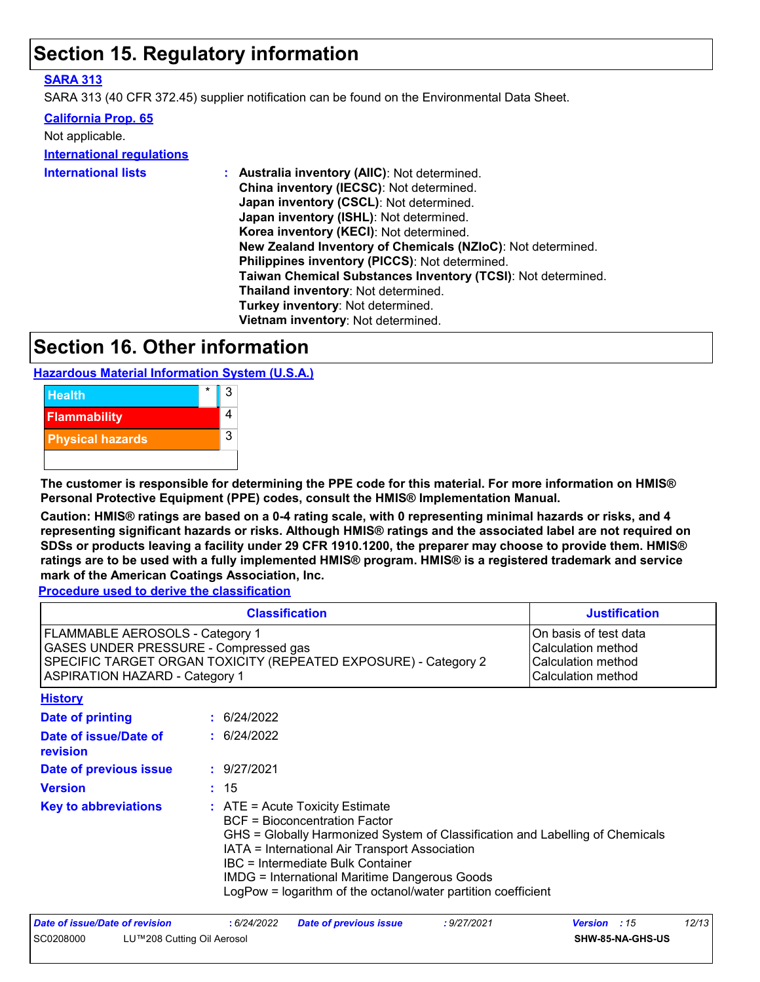### **Section 15. Regulatory information**

#### **SARA 313**

SARA 313 (40 CFR 372.45) supplier notification can be found on the Environmental Data Sheet.

#### **California Prop. 65**

| Not applicable.<br><b>International regulations</b> |                                                              |
|-----------------------------------------------------|--------------------------------------------------------------|
| <b>International lists</b>                          | : Australia inventory (AIIC): Not determined.                |
|                                                     | China inventory (IECSC): Not determined.                     |
|                                                     | Japan inventory (CSCL): Not determined.                      |
|                                                     | Japan inventory (ISHL): Not determined.                      |
|                                                     | Korea inventory (KECI): Not determined.                      |
|                                                     | New Zealand Inventory of Chemicals (NZIoC): Not determined.  |
|                                                     | Philippines inventory (PICCS): Not determined.               |
|                                                     | Taiwan Chemical Substances Inventory (TCSI): Not determined. |
|                                                     | Thailand inventory: Not determined.                          |
|                                                     | Turkey inventory: Not determined.                            |
|                                                     | Vietnam inventory: Not determined.                           |

### **Section 16. Other information**

**Hazardous Material Information System (U.S.A.)**



**The customer is responsible for determining the PPE code for this material. For more information on HMIS® Personal Protective Equipment (PPE) codes, consult the HMIS® Implementation Manual.**

**Caution: HMIS® ratings are based on a 0-4 rating scale, with 0 representing minimal hazards or risks, and 4 representing significant hazards or risks. Although HMIS® ratings and the associated label are not required on SDSs or products leaving a facility under 29 CFR 1910.1200, the preparer may choose to provide them. HMIS® ratings are to be used with a fully implemented HMIS® program. HMIS® is a registered trademark and service mark of the American Coatings Association, Inc.**

**Procedure used to derive the classification**

| <b>Classification</b>                                                                                                                                                                       |                                                                                                                                                                                                                                                                                                                                                                                   | <b>Justification</b>                                                                    |
|---------------------------------------------------------------------------------------------------------------------------------------------------------------------------------------------|-----------------------------------------------------------------------------------------------------------------------------------------------------------------------------------------------------------------------------------------------------------------------------------------------------------------------------------------------------------------------------------|-----------------------------------------------------------------------------------------|
| <b>FLAMMABLE AEROSOLS - Category 1</b><br>GASES UNDER PRESSURE - Compressed gas<br>SPECIFIC TARGET ORGAN TOXICITY (REPEATED EXPOSURE) - Category 2<br><b>ASPIRATION HAZARD - Category 1</b> |                                                                                                                                                                                                                                                                                                                                                                                   | On basis of test data<br>Calculation method<br>Calculation method<br>Calculation method |
| <b>History</b>                                                                                                                                                                              |                                                                                                                                                                                                                                                                                                                                                                                   |                                                                                         |
| <b>Date of printing</b>                                                                                                                                                                     | : 6/24/2022                                                                                                                                                                                                                                                                                                                                                                       |                                                                                         |
| Date of issue/Date of<br>revision                                                                                                                                                           | : 6/24/2022                                                                                                                                                                                                                                                                                                                                                                       |                                                                                         |
| Date of previous issue                                                                                                                                                                      | : 9/27/2021                                                                                                                                                                                                                                                                                                                                                                       |                                                                                         |
| <b>Version</b>                                                                                                                                                                              | : 15                                                                                                                                                                                                                                                                                                                                                                              |                                                                                         |
| <b>Key to abbreviations</b>                                                                                                                                                                 | $:$ ATE = Acute Toxicity Estimate<br><b>BCF</b> = Bioconcentration Factor<br>GHS = Globally Harmonized System of Classification and Labelling of Chemicals<br>IATA = International Air Transport Association<br><b>IBC</b> = Intermediate Bulk Container<br><b>IMDG</b> = International Maritime Dangerous Goods<br>LogPow = logarithm of the octanol/water partition coefficient |                                                                                         |
| Date of issue/Date of revision                                                                                                                                                              | :6/24/2022<br><b>Date of previous issue</b><br>: 9/27/2021                                                                                                                                                                                                                                                                                                                        | 12/13<br><b>Version</b> : 15                                                            |

SC0208000 LU™208 Cutting Oil Aerosol **SHW-85-NA-GHS-US**